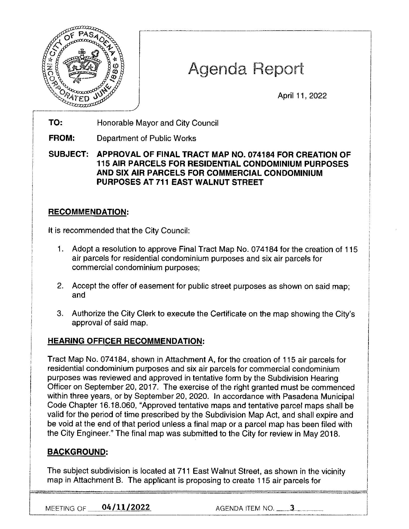

# Agenda Report

April 11 , 2022

TO: Honorable Mayor and City Council

**FROM:**  Department of Public Works

**SUBJECT: APPROVAL OF FINAL TRACT MAP NO. 074184 FOR CREATION OF 115 AIR PARCELS FOR RESIDENTIAL CONDOMINIUM PURPOSES AND SIX AIR PARCELS FOR COMMERCIAL CONDOMINIUM PURPOSES AT 711 EAST WALNUT STREET** 

## **RECOMMENDATION:**

It is recommended that the City Council:

- 1. Adopt a resolution to approve Final Tract Map No. 07 4184 for the creation of 115 air parcels for residential condominium purposes and six air parcels for commercial condominium purposes;
- 2. Accept the offer of easement for public street purposes as shown on said map; and
- 3. Authorize the City Clerk to execute the Certificate on the map showing the City's approval of said map.

## **HEARING OFFICER RECOMMENDATION:**

Tract Map No. 074184, shown in Attachment A, for the creation of 115 air parcels for residential condominium purposes and six air parcels for commercial condominium purposes was reviewed and approved in tentative form by the Subdivision Hearing Officer on September 20, 2017. The exercise of the right granted must be commenced within three years, or by September 20, 2020. In accordance with Pasadena Municipal Code Chapter 16.18.060, "Approved tentative maps and tentative parcel maps shall be valid for the period of time prescribed by the Subdivision Map Act, and shall expire and be void at the end of that period unless a final map or a parcel map has been filed with the City Engineer." The final map was submitted to the City for review in May 2018.

# **BACKGROUND:**

The subject subdivision is located at 711 East Walnut Street, as shown in the vicinity map in Attachment B. The applicant is proposing to create 115 air parcels for

NEETING OF <u>04/11/2022</u> AGENDA ITEM NO. \_ 3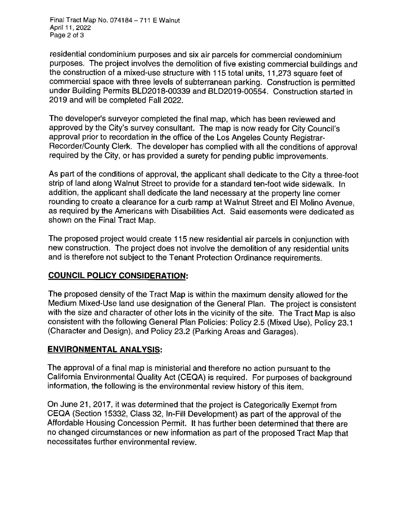Final Tract Map No. 074184 - 711 E Walnut April 11, 2022 Page 2 of 3

residential condominium purposes and six air parcels for commercial condominium purposes. The project involves the demolition of five existing commercial buildings and the construction of a mixed-use structure with 115 total units, 11,273 square feet of commercial space with three levels of subterranean parking. Construction is permitted under Building Permits BLD2018-00339 and BLD2019-00554. Construction started in 2019 and will be completed Fall 2022.

The developer's surveyor completed the final map, which has been reviewed and approved by the City's survey consultant. The map is now ready for City Council's approval prior to recordation in the office of the Los Angeles County Registrar-Recorder/County Clerk. The developer has complied with all the conditions of approval required by the City, or has provided a surety for pending public improvements.

As part of the conditions of approval, the applicant shall dedicate to the City a three-foot strip of land along Walnut Street to provide for a standard ten-foot wide sidewalk. In addition, the applicant shall dedicate the land necessary at the property line corner rounding to create a clearance for a curb ramp at Walnut Street and El Molino Avenue, as required by the Americans with Disabilities Act. Said easements were dedicated as shown on the Final Tract Map.

The proposed project would create 115 new residential air parcels in conjunction with new construction. The project does not involve the demolition of any residential units and is therefore not subject to the Tenant Protection Ordinance requirements.

#### **COUNCIL POLICY CONSIDERATION:**

The proposed density of the Tract Map is within the maximum density allowed for the Medium Mixed-Use land use designation of the General Plan. The project is consistent with the size and character of other lots in the vicinity of the site. The Tract Map is also consistent with the following General Plan Policies: Policy 2.5 (Mixed Use), Policy 23.1 (Character and Design), and Policy 23.2 (Parking Areas and Garages).

#### **ENVIRONMENTAL ANALYSIS:**

The approval of a final map is ministerial and therefore no action pursuant to the California Environmental Quality Act (CEQA) is required. For purposes of background information, the following is the environmental review history of this item.

On June 21, 2017, it was determined that the project is Categorically Exempt from CEQA (Section 15332, Class 32, In-Fill Development) as part of the approval of the Affordable Housing Concession Permit. It has further been determined that there are no changed circumstances or new information as part of the proposed Tract Map that necessitates further environmental review.